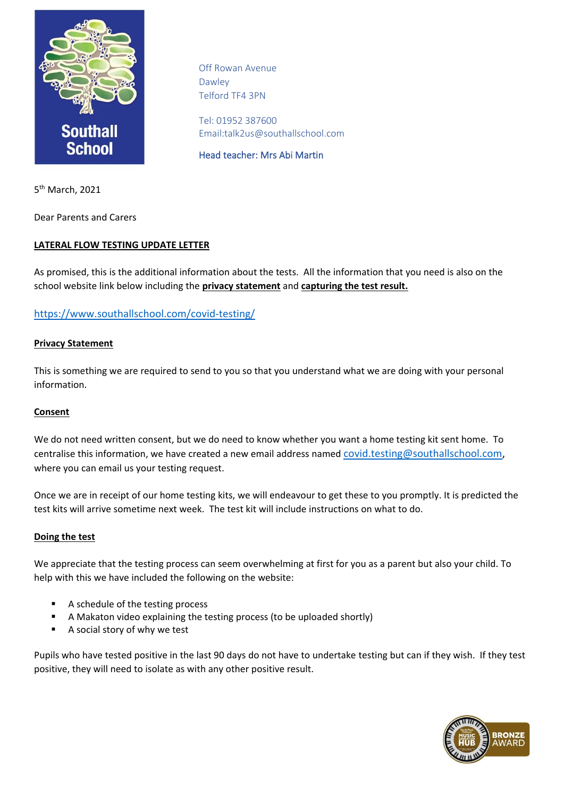

Off Rowan Avenue Dawley Telford TF4 3PN

Tel: 01952 387600 Email:talk2us@southallschool.com

Head teacher: Mrs Abi Martin

5<sup>th</sup> March, 2021

Dear Parents and Carers

# **LATERAL FLOW TESTING UPDATE LETTER**

As promised, this is the additional information about the tests. All the information that you need is also on the school website link below including the **privacy statement** and **capturing the test result.**

# <https://www.southallschool.com/covid-testing/>

#### **Privacy Statement**

This is something we are required to send to you so that you understand what we are doing with your personal information.

#### **Consent**

We do not need written consent, but we do need to know whether you want a home testing kit sent home. To centralise this information, we have created a new email address named [covid.testing@southallschool.com,](mailto:covid.testing@southallschool.com) where you can email us your testing request.

Once we are in receipt of our home testing kits, we will endeavour to get these to you promptly. It is predicted the test kits will arrive sometime next week. The test kit will include instructions on what to do.

# **Doing the test**

We appreciate that the testing process can seem overwhelming at first for you as a parent but also your child. To help with this we have included the following on the website:

- A schedule of the testing process
- A Makaton video explaining the testing process (to be uploaded shortly)
- A social story of why we test

Pupils who have tested positive in the last 90 days do not have to undertake testing but can if they wish. If they test positive, they will need to isolate as with any other positive result.

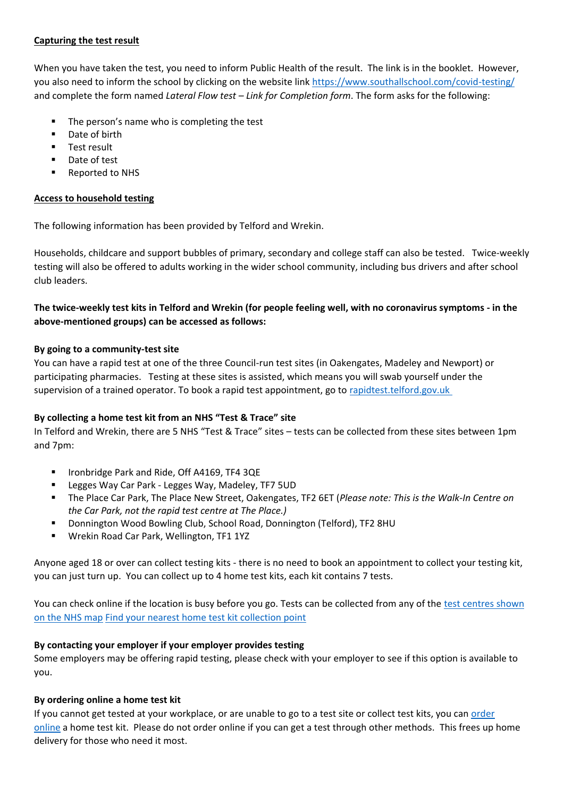### **Capturing the test result**

When you have taken the test, you need to inform Public Health of the result. The link is in the booklet. However, you also need to inform the school by clicking on the website lin[k https://www.southallschool.com/covid-testing/](https://www.southallschool.com/covid-testing/) and complete the form named *Lateral Flow test – Link for Completion form*. The form asks for the following:

- The person's name who is completing the test
- Date of birth
- **■** Test result
- Date of test
- Reported to NHS

### **Access to household testing**

The following information has been provided by Telford and Wrekin.

Households, childcare and support bubbles of primary, secondary and college staff can also be tested. Twice-weekly testing will also be offered to adults working in the wider school community, including bus drivers and after school club leaders.

# **The twice-weekly test kits in Telford and Wrekin (for people feeling well, with no coronavirus symptoms - in the above-mentioned groups) can be accessed as follows:**

#### **By going to a community-test site**

You can have a rapid test at one of the three Council-run test sites (in Oakengates, Madeley and Newport) or participating pharmacies. Testing at these sites is assisted, which means you will swab yourself under the supervision of a trained operator. To book a rapid test appointment, go to [rapidtest.telford.gov.uk](http://rapidtest.telford.gov.uk/)

# **By collecting a home test kit from an NHS "Test & Trace" site**

In Telford and Wrekin, there are 5 NHS "Test & Trace" sites – tests can be collected from these sites between 1pm and 7pm:

- Ironbridge Park and Ride, Off A4169, TF4 3QE
- Legges Way Car Park Legges Way, Madeley, TF7 5UD
- The Place Car Park, The Place New Street, Oakengates, TF2 6ET (*Please note: This is the Walk-In Centre on the Car Park, not the rapid test centre at The Place.)*
- Donnington Wood Bowling Club, School Road, Donnington (Telford), TF2 8HU
- Wrekin Road Car Park, Wellington, TF1 1YZ

Anyone aged 18 or over can collect testing kits - there is no need to book an appointment to collect your testing kit, you can just turn up. You can collect up to 4 home test kits, each kit contains 7 tests.

You can check online if the location is busy before you go. Tests can be collected from any of the test centres shown [on the NHS map](https://find-covid-19-rapid-test-sites.maps.test-and-trace.nhs.uk/) [Find your nearest home test kit collection point](https://find-covid-19-rapid-test-sites.maps.test-and-trace.nhs.uk/)

# **By contacting your employer if your employer provides testing**

Some employers may be offering rapid testing, please check with your employer to see if this option is available to you.

# **By ordering online a home test kit**

If you cannot get tested at your workplace, or are unable to go to a test site or collect test kits, you can [order](https://www.gov.uk/order-coronavirus-rapid-lateral-flow-tests)  [online](https://www.gov.uk/order-coronavirus-rapid-lateral-flow-tests) a home test kit. Please do not order online if you can get a test through other methods. This frees up home delivery for those who need it most.